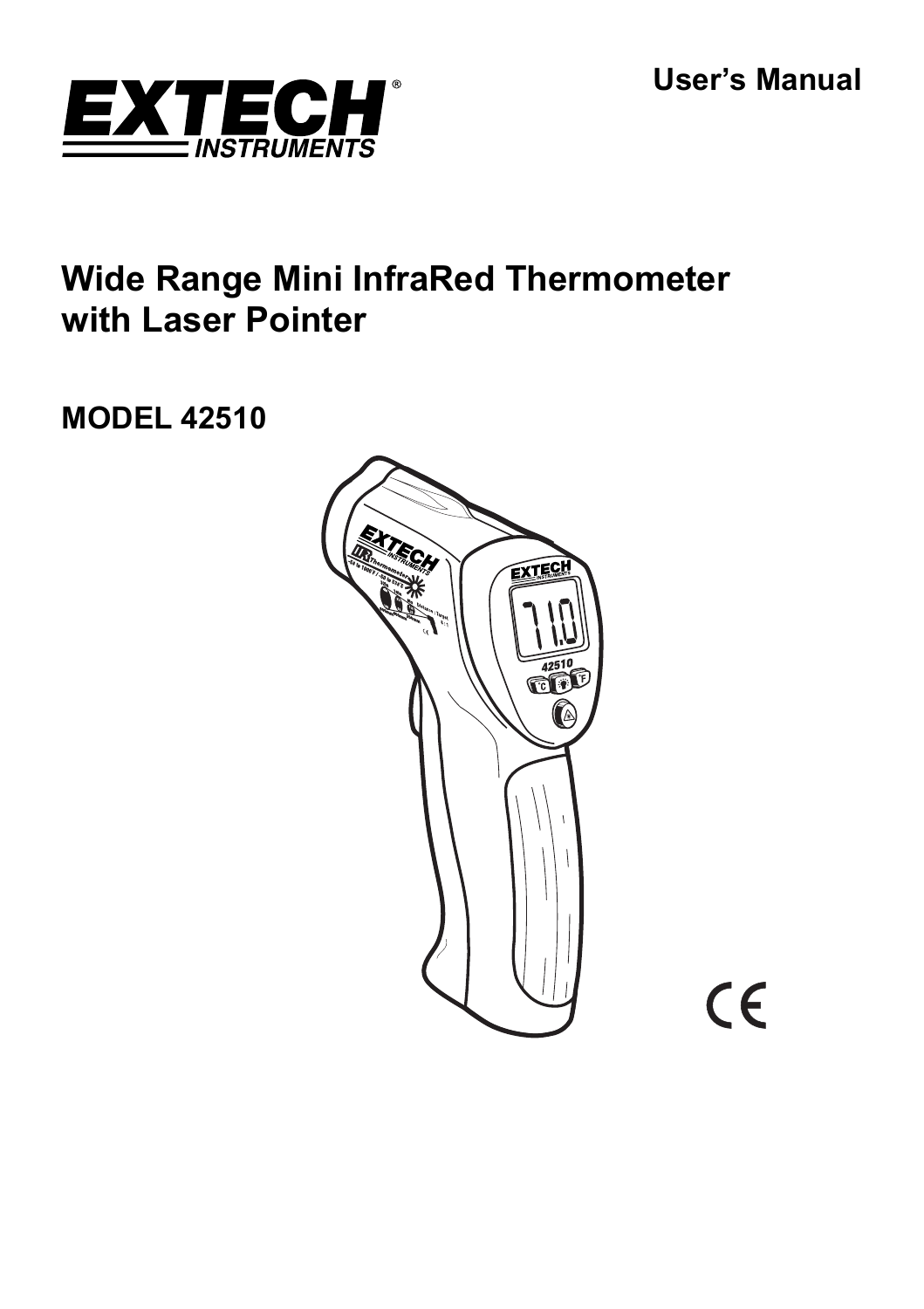**User's Manual** 



# **Wide Range Mini InfraRed Thermometer with Laser Pointer**

# **MODEL 42510**



CE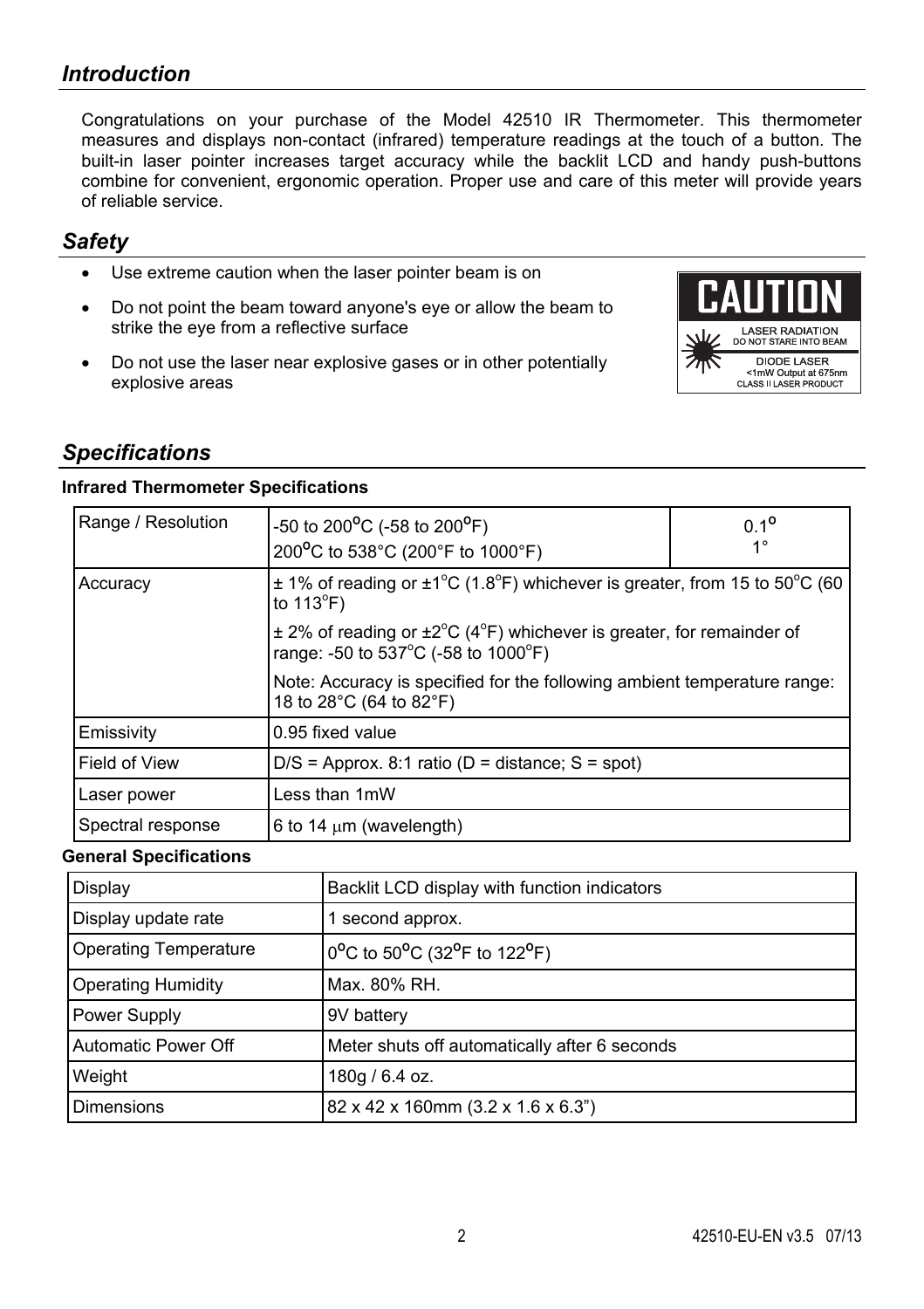# *Introduction*

Congratulations on your purchase of the Model 42510 IR Thermometer. This thermometer measures and displays non-contact (infrared) temperature readings at the touch of a button. The built-in laser pointer increases target accuracy while the backlit LCD and handy push-buttons combine for convenient, ergonomic operation. Proper use and care of this meter will provide years of reliable service.

### *Safety*

- Use extreme caution when the laser pointer beam is on
- Do not point the beam toward anyone's eye or allow the beam to strike the eye from a reflective surface
- Do not use the laser near explosive gases or in other potentially explosive areas



## *Specifications*

#### **Infrared Thermometer Specifications**

| Range / Resolution | -50 to 200 <sup>o</sup> C (-58 to 200 <sup>o</sup> F)<br>200°C to 538°C (200°F to 1000°F)                            | $0.1^{\circ}$<br>$1^{\circ}$ |
|--------------------|----------------------------------------------------------------------------------------------------------------------|------------------------------|
| Accuracy           | $\pm$ 1% of reading or $\pm$ 1°C (1.8°F) whichever is greater, from 15 to 50°C (60<br>to $113^{\circ}F$ )            |                              |
|                    | $\pm$ 2% of reading or $\pm$ 2°C (4°F) whichever is greater, for remainder of<br>range: -50 to 537°C (-58 to 1000°F) |                              |
|                    | Note: Accuracy is specified for the following ambient temperature range:<br>18 to 28°C (64 to 82°F)                  |                              |
| Emissivity         | 0.95 fixed value                                                                                                     |                              |
| Field of View      | $D/S =$ Approx. 8:1 ratio (D = distance; S = spot)                                                                   |                              |
| Laser power        | Less than 1mW                                                                                                        |                              |
| Spectral response  | 6 to 14 $\mu$ m (wavelength)                                                                                         |                              |

#### **General Specifications**

| Display                      | Backlit LCD display with function indicators  |
|------------------------------|-----------------------------------------------|
| Display update rate          | 1 second approx.                              |
| <b>Operating Temperature</b> | 0°C to 50°C (32°F to 122°F)                   |
| <b>Operating Humidity</b>    | Max. 80% RH.                                  |
| Power Supply                 | 9V battery                                    |
| Automatic Power Off          | Meter shuts off automatically after 6 seconds |
| Weight                       | 180g / 6.4 oz.                                |
| Dimensions                   | 82 x 42 x 160mm (3.2 x 1.6 x 6.3")            |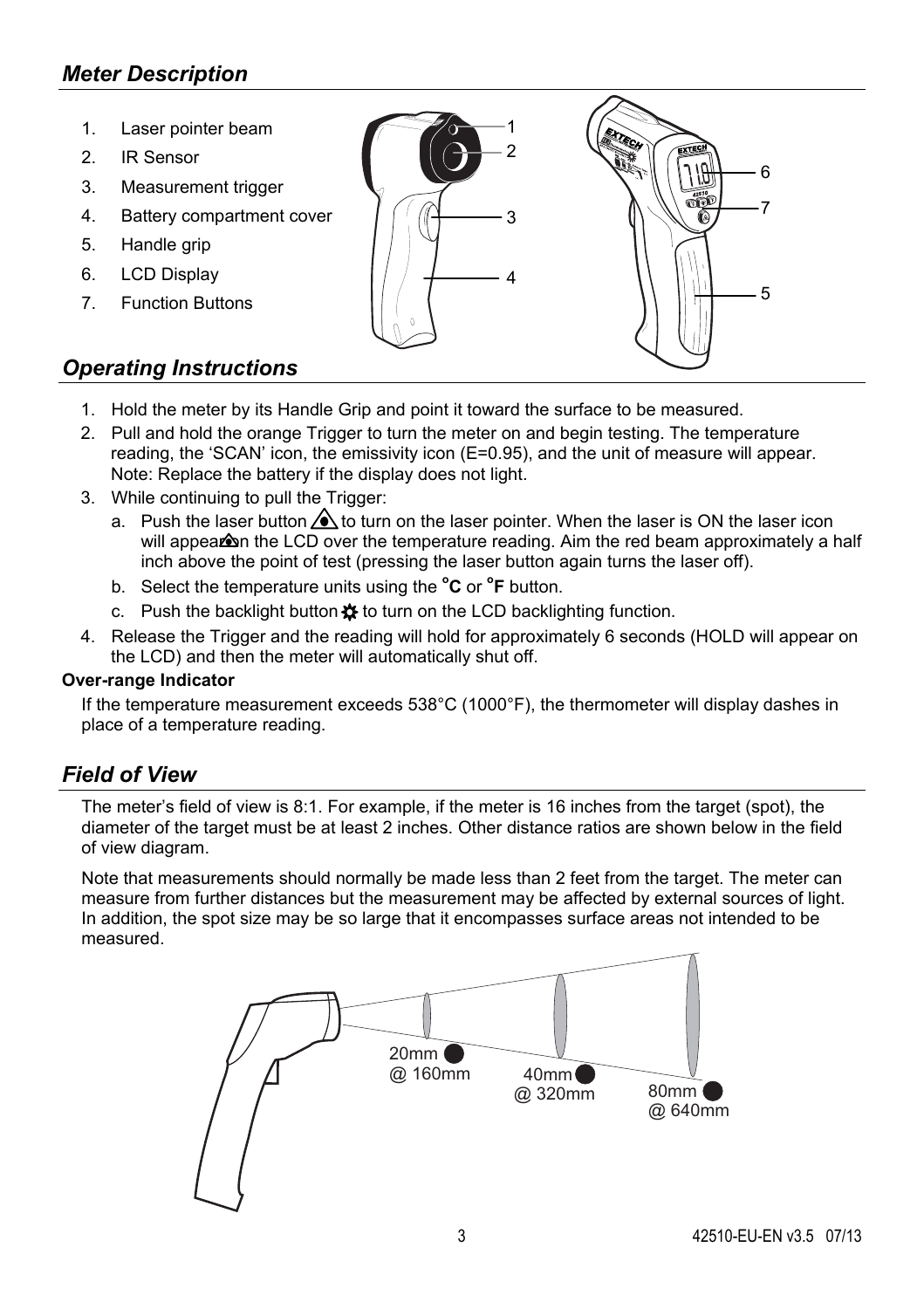# *Meter Description*

- 1. Laser pointer beam
- 2. IR Sensor
- 3. Measurement trigger
- 4. Battery compartment cover
- 5. Handle grip
- 6. LCD Display
- 7. Function Buttons



# *Operating Instructions*

- 1. Hold the meter by its Handle Grip and point it toward the surface to be measured.
- 2. Pull and hold the orange Trigger to turn the meter on and begin testing. The temperature reading, the 'SCAN' icon, the emissivity icon (E=0.95), and the unit of measure will appear. Note: Replace the battery if the display does not light.
- 3. While continuing to pull the Trigger:
	- a. Push the laser button  $\bigwedge$  to turn on the laser pointer. When the laser is ON the laser icon will appear on the LCD over the temperature reading. Aim the red beam approximately a half inch above the point of test (pressing the laser button again turns the laser off).
	- b. Select the temperature units using the **<sup>o</sup> C** or **<sup>o</sup> F** button.
	- c. Push the backlight button  $\mathbf{\ddot{x}}$  to turn on the LCD backlighting function.
- 4. Release the Trigger and the reading will hold for approximately 6 seconds (HOLD will appear on the LCD) and then the meter will automatically shut off.

#### **Over-range Indicator**

If the temperature measurement exceeds 538°C (1000°F), the thermometer will display dashes in place of a temperature reading.

#### *Field of View*

The meter's field of view is 8:1. For example, if the meter is 16 inches from the target (spot), the diameter of the target must be at least 2 inches. Other distance ratios are shown below in the field of view diagram.

Note that measurements should normally be made less than 2 feet from the target. The meter can measure from further distances but the measurement may be affected by external sources of light. In addition, the spot size may be so large that it encompasses surface areas not intended to be measured.